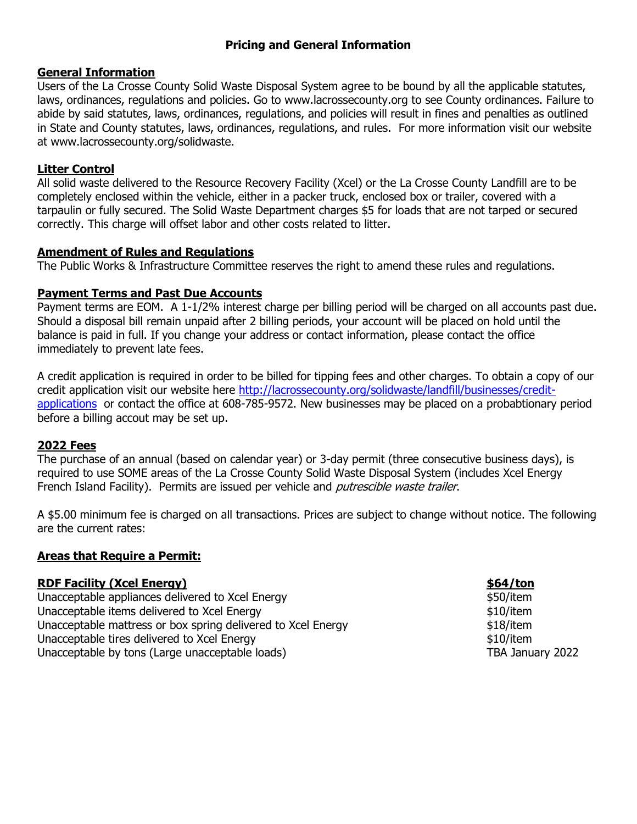## **Pricing and General Information**

#### **General Information**

Users of the La Crosse County Solid Waste Disposal System agree to be bound by all the applicable statutes, laws, ordinances, regulations and policies. Go to www.lacrossecounty.org to see County ordinances. Failure to abide by said statutes, laws, ordinances, regulations, and policies will result in fines and penalties as outlined in State and County statutes, laws, ordinances, regulations, and rules. For more information visit our website at www.lacrossecounty.org/solidwaste.

### **Litter Control**

All solid waste delivered to the Resource Recovery Facility (Xcel) or the La Crosse County Landfill are to be completely enclosed within the vehicle, either in a packer truck, enclosed box or trailer, covered with a tarpaulin or fully secured. The Solid Waste Department charges \$5 for loads that are not tarped or secured correctly. This charge will offset labor and other costs related to litter.

### **Amendment of Rules and Regulations**

The Public Works & Infrastructure Committee reserves the right to amend these rules and regulations.

### **Payment Terms and Past Due Accounts**

Payment terms are EOM. A 1-1/2% interest charge per billing period will be charged on all accounts past due. Should a disposal bill remain unpaid after 2 billing periods, your account will be placed on hold until the balance is paid in full. If you change your address or contact information, please contact the office immediately to prevent late fees.

A credit application is required in order to be billed for tipping fees and other charges. To obtain a copy of our credit application visit our website here [http://lacrossecounty.org/solidwaste/landfill/businesses/credit](http://lacrossecounty.org/solidwaste/landfill/businesses/credit-applications)[applications](http://lacrossecounty.org/solidwaste/landfill/businesses/credit-applications) or contact the office at 608-785-9572. New businesses may be placed on a probabtionary period before a billing accout may be set up.

# **2022 Fees**

The purchase of an annual (based on calendar year) or 3-day permit (three consecutive business days), is required to use SOME areas of the La Crosse County Solid Waste Disposal System (includes Xcel Energy French Island Facility). Permits are issued per vehicle and *putrescible waste trailer*.

A \$5.00 minimum fee is charged on all transactions. Prices are subject to change without notice. The following are the current rates:

#### **Areas that Require a Permit:**

# **RDF Facility (Xcel Energy) 664/ton**

Unacceptable appliances delivered to Xcel Energy  $$50/item$ Unacceptable items delivered to Xcel Energy  $$10/item$ Unacceptable mattress or box spring delivered to Xcel Energy entitled that the statements of the statements of Unacceptable tires delivered to Xcel Energy **\$10/item** \$10/item Unacceptable by tons (Large unacceptable loads) TBA January 2022